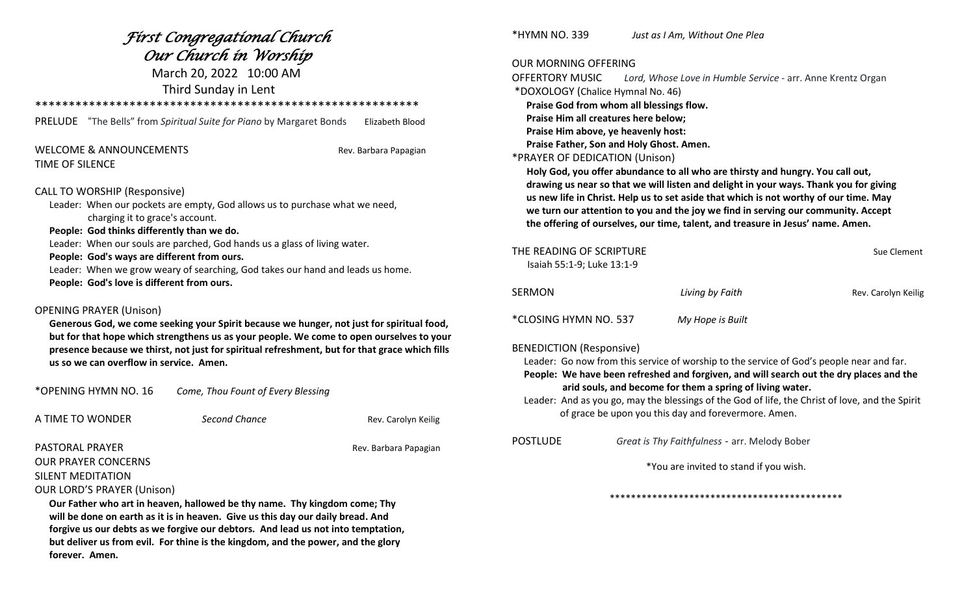|                                                                                                                                                                                                                   | Fírst Congregatíonal Church                                                                                                                                                                                                                                                             |                       |
|-------------------------------------------------------------------------------------------------------------------------------------------------------------------------------------------------------------------|-----------------------------------------------------------------------------------------------------------------------------------------------------------------------------------------------------------------------------------------------------------------------------------------|-----------------------|
|                                                                                                                                                                                                                   | Our Church in Worship                                                                                                                                                                                                                                                                   |                       |
|                                                                                                                                                                                                                   | March 20, 2022 10:00 AM                                                                                                                                                                                                                                                                 |                       |
|                                                                                                                                                                                                                   | Third Sunday in Lent                                                                                                                                                                                                                                                                    |                       |
|                                                                                                                                                                                                                   |                                                                                                                                                                                                                                                                                         |                       |
| <b>PRELUDE</b>                                                                                                                                                                                                    | "The Bells" from Spiritual Suite for Piano by Margaret Bonds                                                                                                                                                                                                                            | Elizabeth Blood       |
| <b>WELCOME &amp; ANNOUNCEMENTS</b><br><b>TIME OF SILENCE</b>                                                                                                                                                      |                                                                                                                                                                                                                                                                                         | Rev. Barbara Papagian |
| <b>CALL TO WORSHIP (Responsive)</b><br>charging it to grace's account.<br>People: God thinks differently than we do.<br>People: God's ways are different from ours.<br>People: God's love is different from ours. | Leader: When our pockets are empty, God allows us to purchase what we need,<br>Leader: When our souls are parched, God hands us a glass of living water.<br>Leader: When we grow weary of searching, God takes our hand and leads us home.                                              |                       |
| <b>OPENING PRAYER (Unison)</b><br>us so we can overflow in service. Amen.                                                                                                                                         | Generous God, we come seeking your Spirit because we hunger, not just for spiritual food,<br>but for that hope which strengthens us as your people. We come to open ourselves to your<br>presence because we thirst, not just for spiritual refreshment, but for that grace which fills |                       |
| *OPENING HYMN NO. 16                                                                                                                                                                                              | Come, Thou Fount of Every Blessing                                                                                                                                                                                                                                                      |                       |
| A TIME TO WONDER                                                                                                                                                                                                  | Second Chance                                                                                                                                                                                                                                                                           | Rev. Carolyn Keilig   |
| <b>PASTORAL PRAYER</b>                                                                                                                                                                                            |                                                                                                                                                                                                                                                                                         | Rev. Barbara Papagian |

# OUR PRAYER CONCERNS

SILENT MEDITATION

OUR LORD'S PRAYER (Unison)

 **Our Father who art in heaven, hallowed be thy name. Thy kingdom come; Thy will be done on earth as it is in heaven. Give us this day our daily bread. And forgive us our debts as we forgive our debtors. And lead us not into temptation, but deliver us from evil. For thine is the kingdom, and the power, and the glory forever. Amen.**

\*HYMN NO. 339 *Just as I Am, Without One Plea*

### OUR MORNING OFFERING

OFFERTORY MUSIC *Lord, Whose Love in Humble Service* - arr. Anne Krentz Organ \*DOXOLOGY (Chalice Hymnal No. 46) **Praise God from whom all blessings flow. Praise Him all creatures here below; Praise Him above, ye heavenly host: Praise Father, Son and Holy Ghost. Amen.**  \*PRAYER OF DEDICATION (Unison)  **Holy God, you offer abundance to all who are thirsty and hungry. You call out, drawing us near so that we will listen and delight in your ways. Thank you for giving us new life in Christ. Help us to set aside that which is not worthy of our time. May we turn our attention to you and the joy we find in serving our community. Accept the offering of ourselves, our time, talent, and treasure in Jesus' name. Amen.**

| THE READING OF SCRIPTURE<br>Isaiah 55:1-9; Luke 13:1-9                                                                                                                                                                                                                                                                                                                                                                                         |                                               | Sue Clement         |  |  |
|------------------------------------------------------------------------------------------------------------------------------------------------------------------------------------------------------------------------------------------------------------------------------------------------------------------------------------------------------------------------------------------------------------------------------------------------|-----------------------------------------------|---------------------|--|--|
| <b>SERMON</b>                                                                                                                                                                                                                                                                                                                                                                                                                                  | Living by Faith                               | Rev. Carolyn Keilig |  |  |
| *CLOSING HYMN NO. 537                                                                                                                                                                                                                                                                                                                                                                                                                          | My Hope is Built                              |                     |  |  |
| <b>BENEDICTION (Responsive)</b><br>Leader: Go now from this service of worship to the service of God's people near and far.<br>People: We have been refreshed and forgiven, and will search out the dry places and the<br>arid souls, and become for them a spring of living water.<br>Leader: And as you go, may the blessings of the God of life, the Christ of love, and the Spirit<br>of grace be upon you this day and forevermore. Amen. |                                               |                     |  |  |
| <b>POSTLUDE</b>                                                                                                                                                                                                                                                                                                                                                                                                                                | Great is Thy Faithfulness - arr. Melody Bober |                     |  |  |
| *You are invited to stand if you wish.                                                                                                                                                                                                                                                                                                                                                                                                         |                                               |                     |  |  |
|                                                                                                                                                                                                                                                                                                                                                                                                                                                |                                               |                     |  |  |